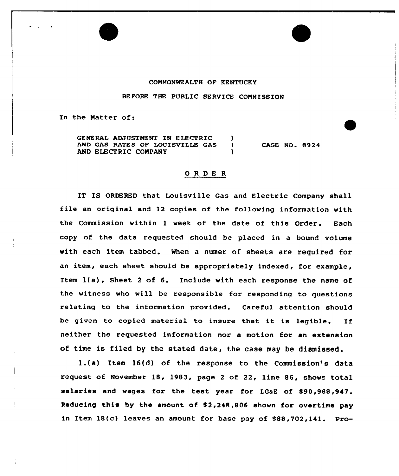## COMMONWEALTH OF KENTUCKY

BEFORE THE PUBLIC SERVICE COMMISSION

In the Matter of:

GENERAL ADJUSTMENT IN ELECTRIC (3)<br>AND GAS RATES OF LOUISVILLE GAS AND GAS RATES OF LOUISVILLE GAS AND ELECTRIC COMPANY CASE NO. 8924

## ORDER

IT IS ORDERED that Louisville Gas and Electric Company shall file an original and 12 copies cf the following information with the Commission within 1 week of the date of this Order. Each copy of the data requested should be placed in a bound volume with each item tabbed. When a numer of sheets are required for an item, each sheet should be appropriately indexed, for example, Item 1(a), Sheet <sup>2</sup> of 6. Include with each response the name of the witness who will be responsible for responding to questions relating to the information provided. Careful attention should be given to copied material to insure that it is legible. If neither the requested information nor a motion for an extension of time is filed by the stated date, the case may be dismissed.

1.(a) Item 16(d) of the response to the Commission's data request of November 18, 1983, page <sup>2</sup> of 22, line 86, shows total salaries and wages for the test year for LGaE of \$90,988,947. Reducing this by the amount of! 82,248,806 shown for overtime pay in Item 18(c) leaves an amount for base pay of 888,702,111. Pro